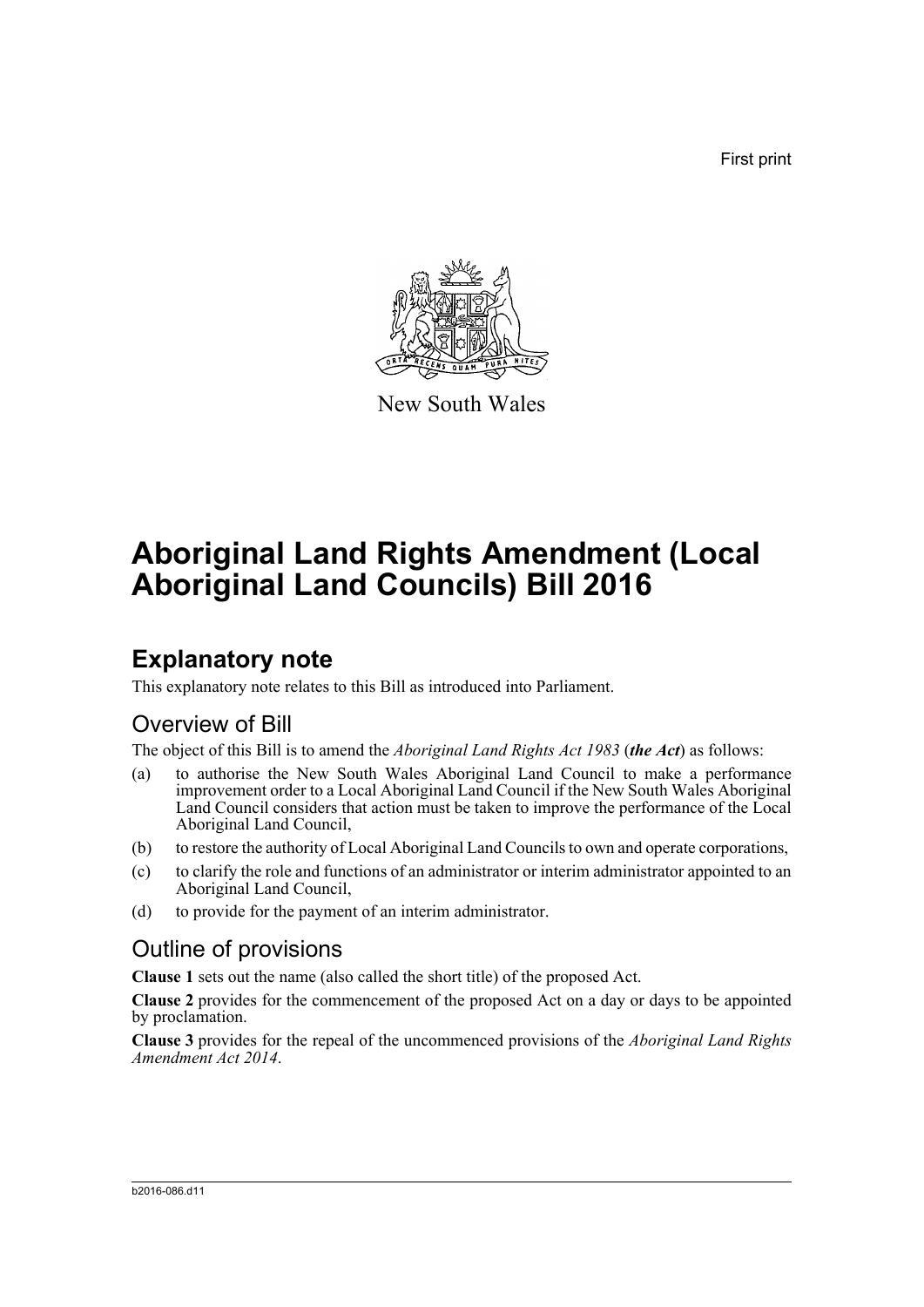First print



New South Wales

# **Aboriginal Land Rights Amendment (Local Aboriginal Land Councils) Bill 2016**

## **Explanatory note**

This explanatory note relates to this Bill as introduced into Parliament.

## Overview of Bill

The object of this Bill is to amend the *Aboriginal Land Rights Act 1983* (*the Act*) as follows:

- (a) to authorise the New South Wales Aboriginal Land Council to make a performance improvement order to a Local Aboriginal Land Council if the New South Wales Aboriginal Land Council considers that action must be taken to improve the performance of the Local Aboriginal Land Council,
- (b) to restore the authority of Local Aboriginal Land Councils to own and operate corporations,
- (c) to clarify the role and functions of an administrator or interim administrator appointed to an Aboriginal Land Council,
- (d) to provide for the payment of an interim administrator.

### Outline of provisions

**Clause 1** sets out the name (also called the short title) of the proposed Act.

**Clause 2** provides for the commencement of the proposed Act on a day or days to be appointed by proclamation.

**Clause 3** provides for the repeal of the uncommenced provisions of the *Aboriginal Land Rights Amendment Act 2014*.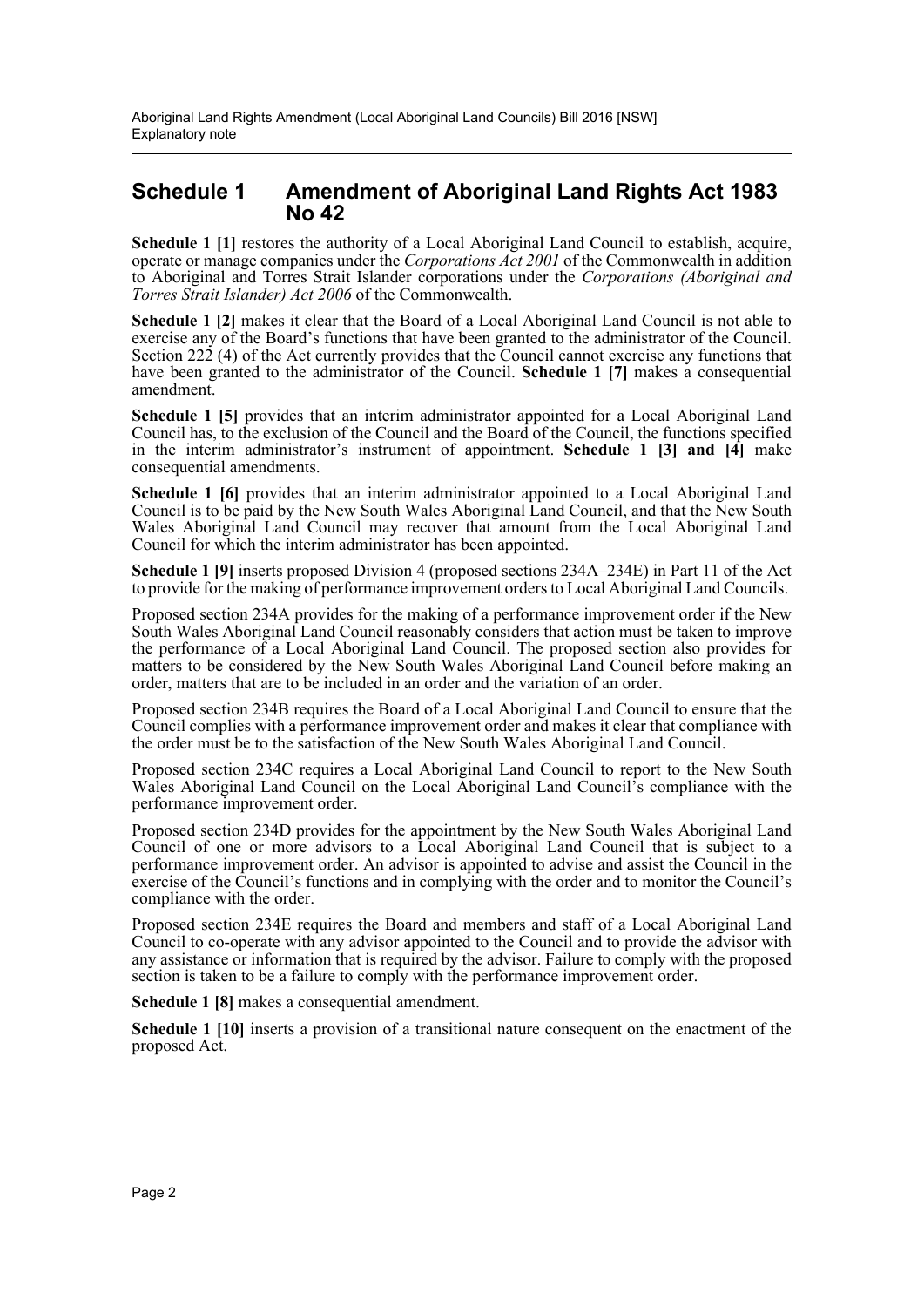### **Schedule 1 Amendment of Aboriginal Land Rights Act 1983 No 42**

**Schedule 1 [1]** restores the authority of a Local Aboriginal Land Council to establish, acquire, operate or manage companies under the *Corporations Act 2001* of the Commonwealth in addition to Aboriginal and Torres Strait Islander corporations under the *Corporations (Aboriginal and Torres Strait Islander) Act 2006* of the Commonwealth.

**Schedule 1 [2]** makes it clear that the Board of a Local Aboriginal Land Council is not able to exercise any of the Board's functions that have been granted to the administrator of the Council. Section  $22\tilde{2}$  (4) of the Act currently provides that the Council cannot exercise any functions that have been granted to the administrator of the Council. **Schedule 1 [7]** makes a consequential amendment.

**Schedule 1 [5]** provides that an interim administrator appointed for a Local Aboriginal Land Council has, to the exclusion of the Council and the Board of the Council, the functions specified in the interim administrator's instrument of appointment. **Schedule 1 [3] and [4]** make consequential amendments.

**Schedule 1 [6]** provides that an interim administrator appointed to a Local Aboriginal Land Council is to be paid by the New South Wales Aboriginal Land Council, and that the New South Wales Aboriginal Land Council may recover that amount from the Local Aboriginal Land Council for which the interim administrator has been appointed.

**Schedule 1 [9]** inserts proposed Division 4 (proposed sections 234A–234E) in Part 11 of the Act to provide for the making of performance improvement orders to Local Aboriginal Land Councils.

Proposed section 234A provides for the making of a performance improvement order if the New South Wales Aboriginal Land Council reasonably considers that action must be taken to improve the performance of a Local Aboriginal Land Council. The proposed section also provides for matters to be considered by the New South Wales Aboriginal Land Council before making an order, matters that are to be included in an order and the variation of an order.

Proposed section 234B requires the Board of a Local Aboriginal Land Council to ensure that the Council complies with a performance improvement order and makes it clear that compliance with the order must be to the satisfaction of the New South Wales Aboriginal Land Council.

Proposed section 234C requires a Local Aboriginal Land Council to report to the New South Wales Aboriginal Land Council on the Local Aboriginal Land Council's compliance with the performance improvement order.

Proposed section 234D provides for the appointment by the New South Wales Aboriginal Land Council of one or more advisors to a Local Aboriginal Land Council that is subject to a performance improvement order. An advisor is appointed to advise and assist the Council in the exercise of the Council's functions and in complying with the order and to monitor the Council's compliance with the order.

Proposed section 234E requires the Board and members and staff of a Local Aboriginal Land Council to co-operate with any advisor appointed to the Council and to provide the advisor with any assistance or information that is required by the advisor. Failure to comply with the proposed section is taken to be a failure to comply with the performance improvement order.

**Schedule 1 [8]** makes a consequential amendment.

**Schedule 1 [10]** inserts a provision of a transitional nature consequent on the enactment of the proposed Act.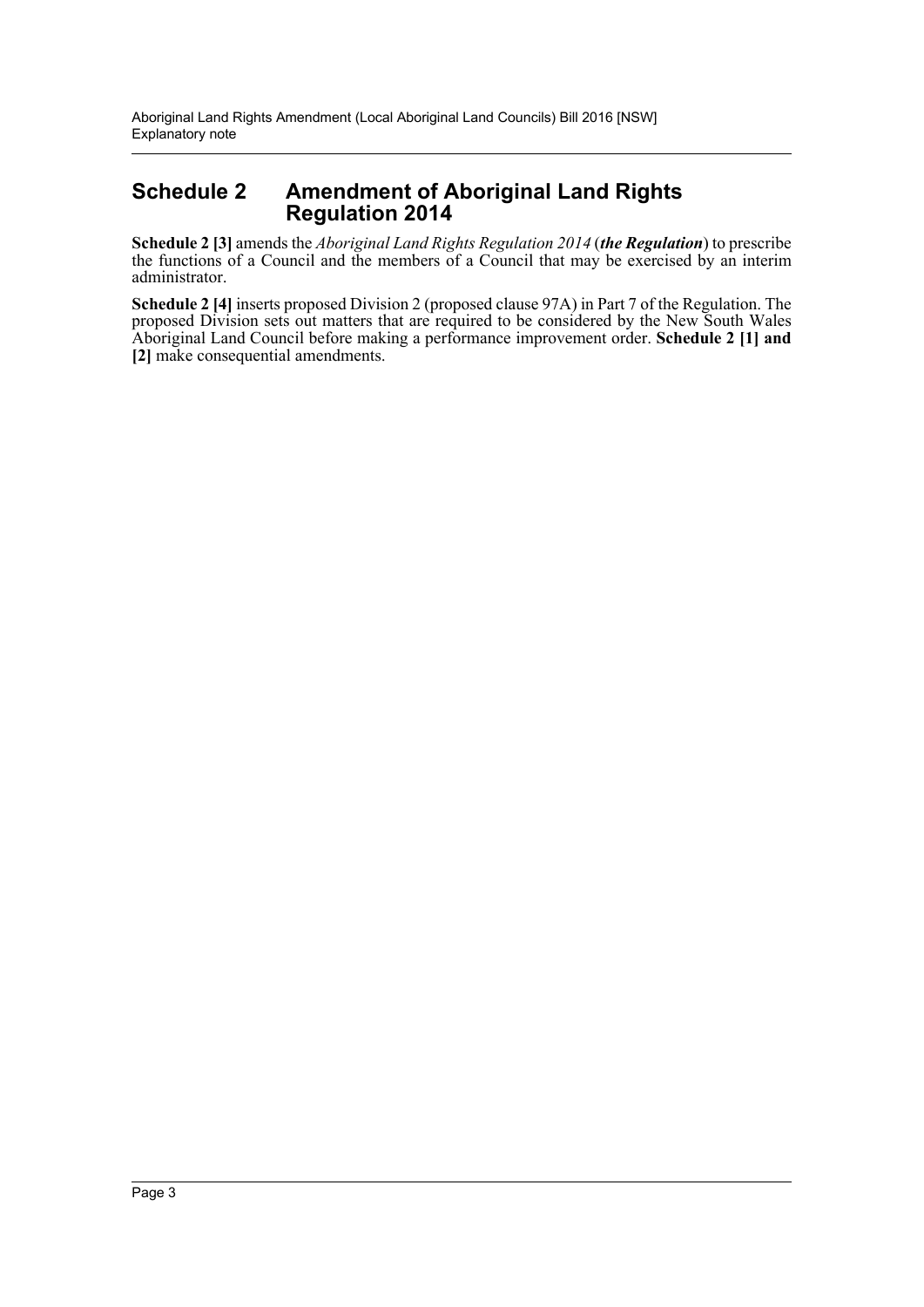### **Schedule 2 Amendment of Aboriginal Land Rights Regulation 2014**

**Schedule 2 [3]** amends the *Aboriginal Land Rights Regulation 2014* (*the Regulation*) to prescribe the functions of a Council and the members of a Council that may be exercised by an interim administrator.

**Schedule 2 [4]** inserts proposed Division 2 (proposed clause 97A) in Part 7 of the Regulation. The proposed Division sets out matters that are required to be considered by the New South Wales Aboriginal Land Council before making a performance improvement order. **Schedule 2 [1] and [2]** make consequential amendments.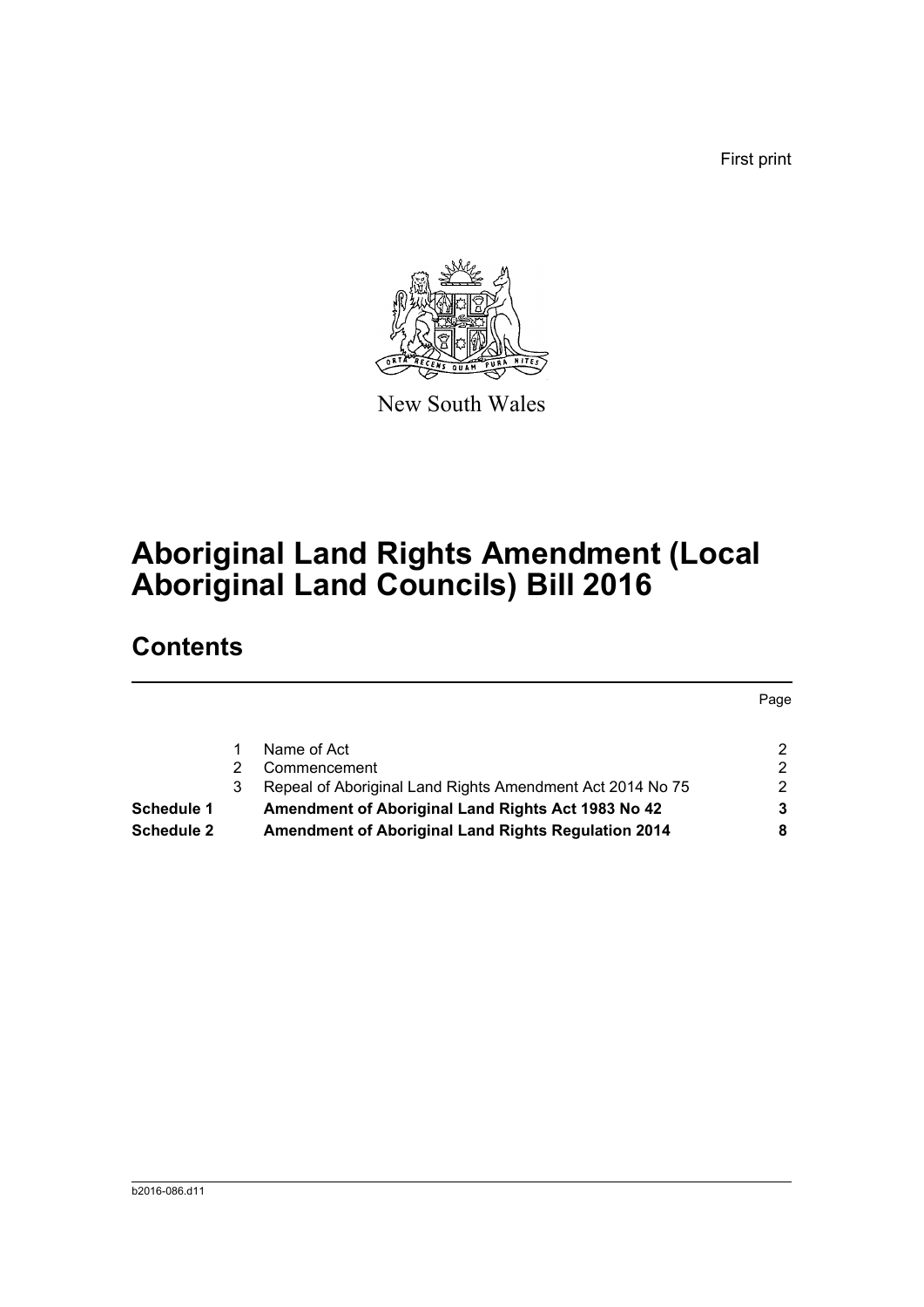First print



New South Wales

## **Aboriginal Land Rights Amendment (Local Aboriginal Land Councils) Bill 2016**

## **Contents**

|                   |    |                                                            | Page |
|-------------------|----|------------------------------------------------------------|------|
|                   |    |                                                            |      |
|                   |    | Name of Act                                                | ົ    |
|                   |    | Commencement                                               |      |
|                   | 3. | Repeal of Aboriginal Land Rights Amendment Act 2014 No 75  |      |
| <b>Schedule 1</b> |    | Amendment of Aboriginal Land Rights Act 1983 No 42         |      |
| Schedule 2        |    | <b>Amendment of Aboriginal Land Rights Regulation 2014</b> |      |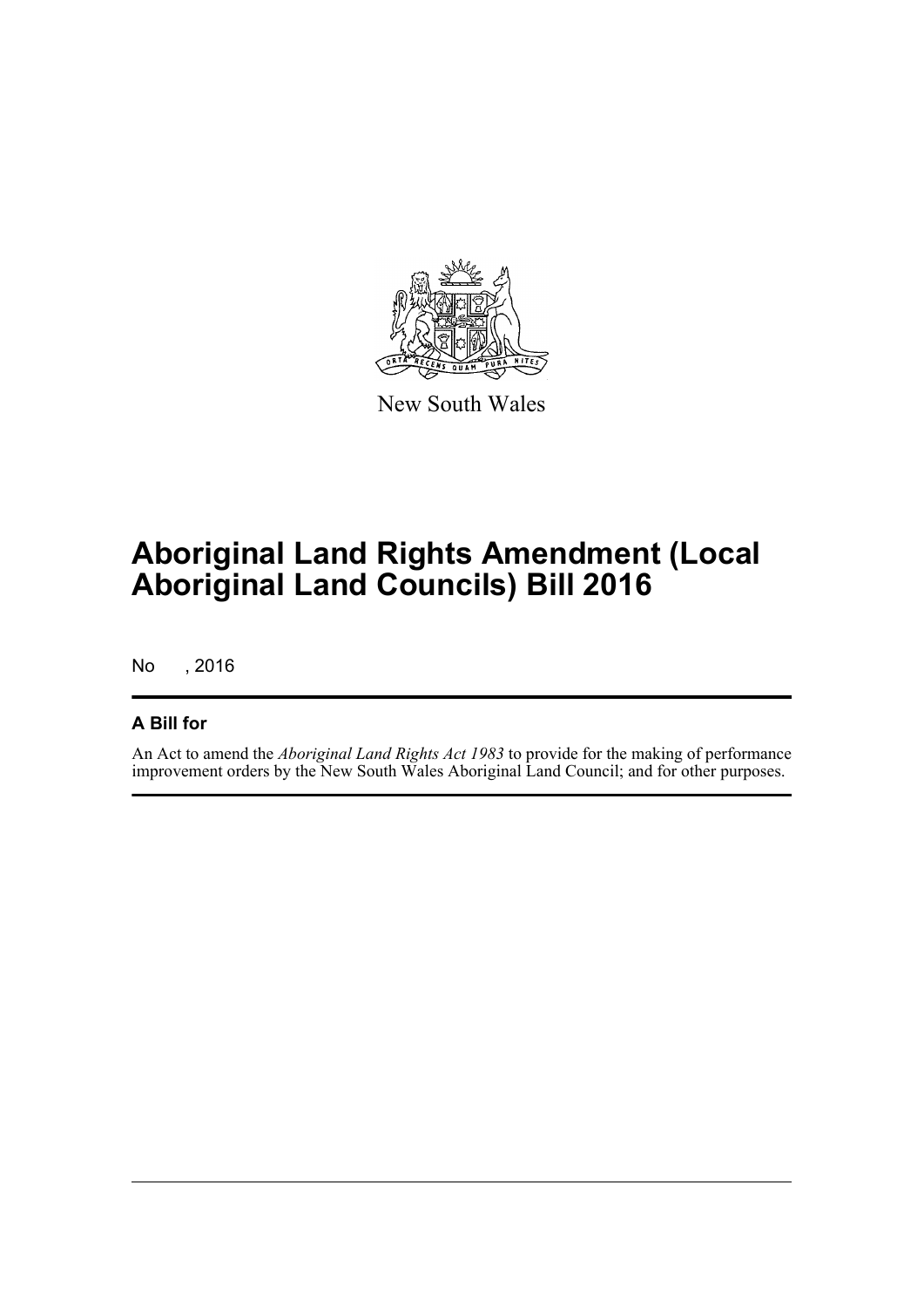

New South Wales

## **Aboriginal Land Rights Amendment (Local Aboriginal Land Councils) Bill 2016**

No , 2016

### **A Bill for**

An Act to amend the *Aboriginal Land Rights Act 1983* to provide for the making of performance improvement orders by the New South Wales Aboriginal Land Council; and for other purposes.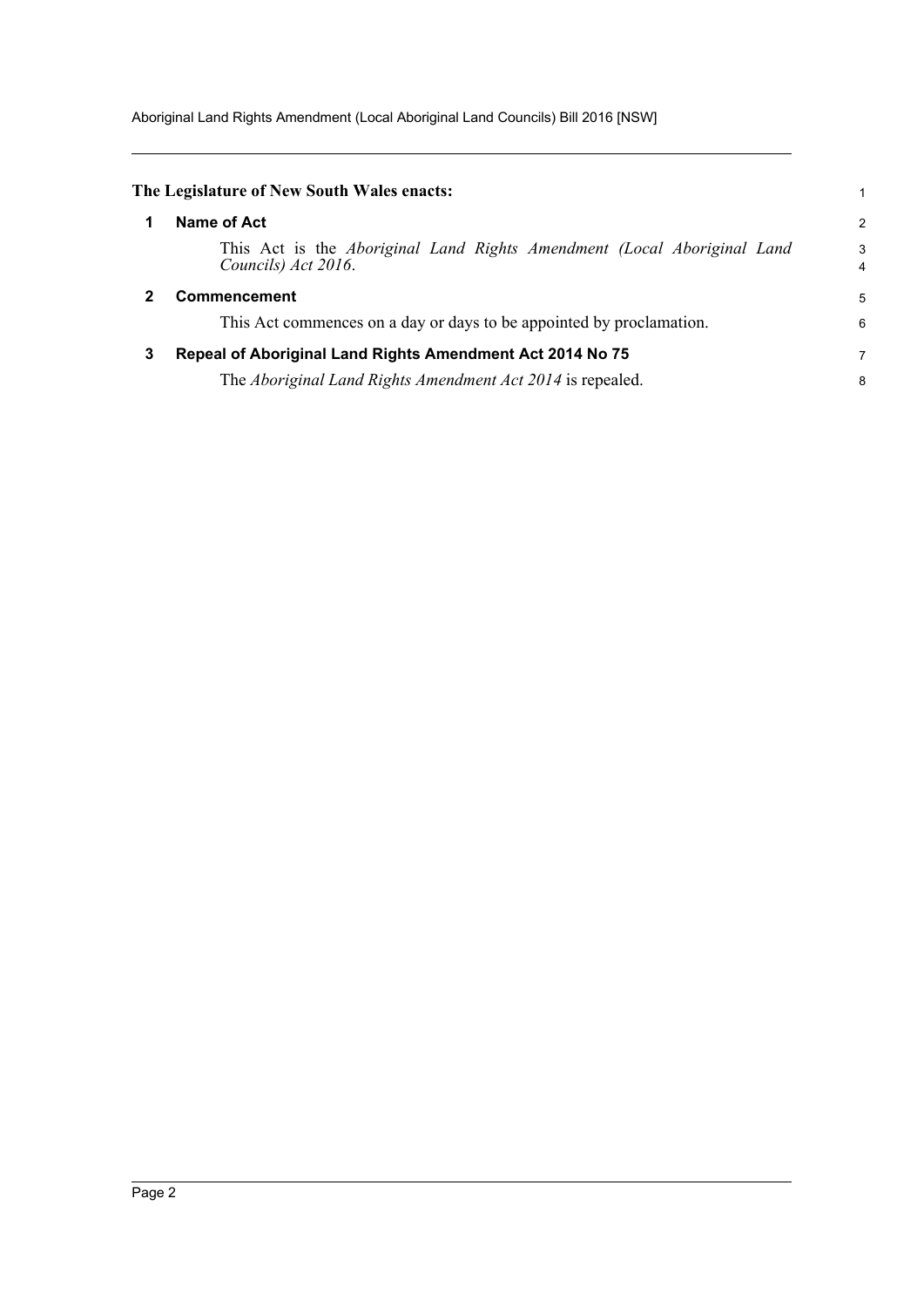Aboriginal Land Rights Amendment (Local Aboriginal Land Councils) Bill 2016 [NSW]

<span id="page-5-2"></span><span id="page-5-1"></span><span id="page-5-0"></span>

|   | The Legislature of New South Wales enacts:                                                     | 1                   |
|---|------------------------------------------------------------------------------------------------|---------------------|
|   | Name of Act                                                                                    | $\overline{2}$      |
|   | This Act is the Aboriginal Land Rights Amendment (Local Aboriginal Land<br>Councils) Act 2016. | 3<br>$\overline{4}$ |
| 2 | <b>Commencement</b>                                                                            | 5                   |
|   | This Act commences on a day or days to be appointed by proclamation.                           | 6                   |
| 3 | Repeal of Aboriginal Land Rights Amendment Act 2014 No 75                                      | 7                   |
|   | The Aboriginal Land Rights Amendment Act 2014 is repealed.                                     | 8                   |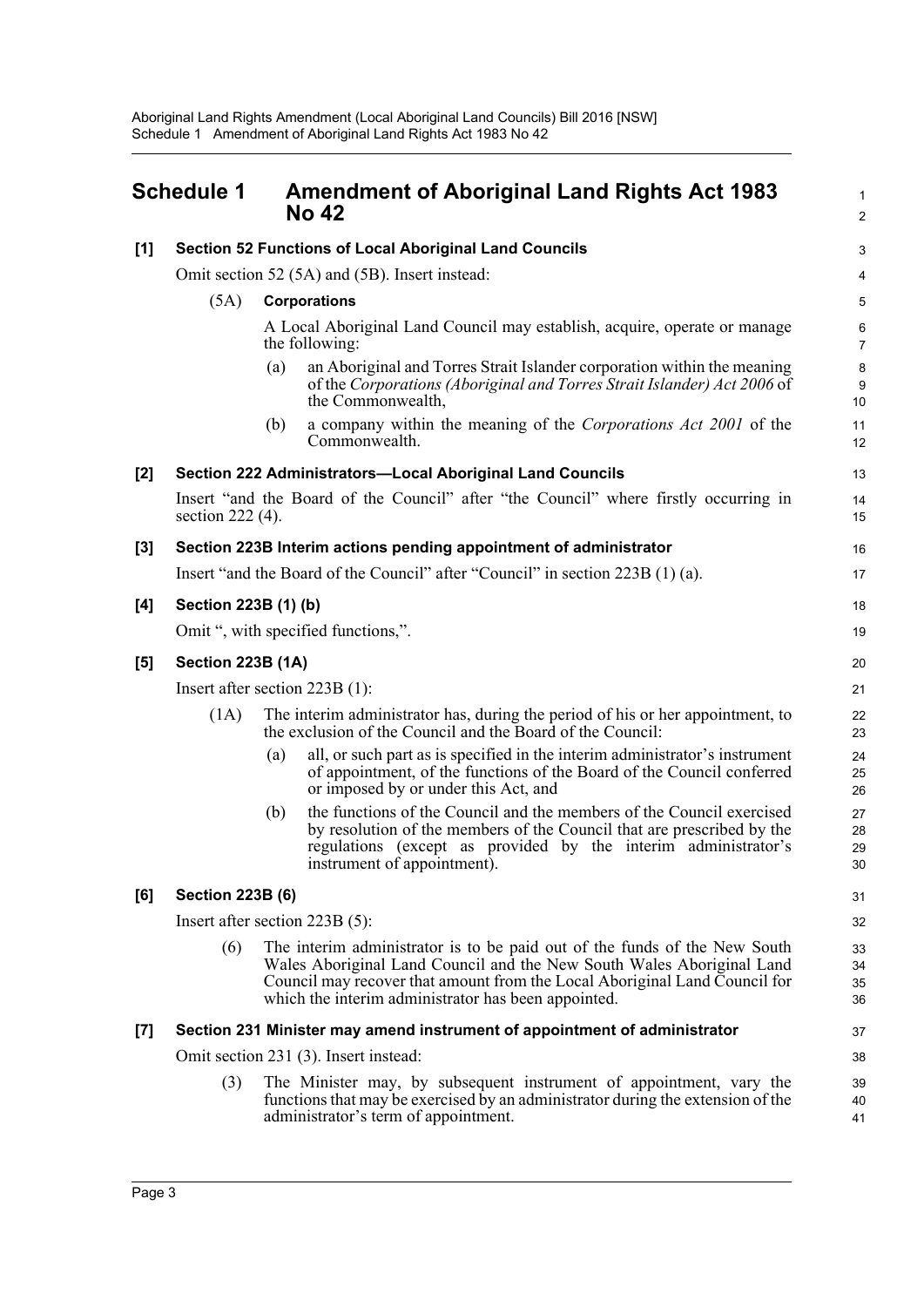<span id="page-6-0"></span>

| <b>Schedule 1</b> |                                                                                | <b>Amendment of Aboriginal Land Rights Act 1983</b><br><b>No 42</b>                                                                                                                                                                                                                     |                      |  |  |
|-------------------|--------------------------------------------------------------------------------|-----------------------------------------------------------------------------------------------------------------------------------------------------------------------------------------------------------------------------------------------------------------------------------------|----------------------|--|--|
| [1]               | <b>Section 52 Functions of Local Aboriginal Land Councils</b>                  |                                                                                                                                                                                                                                                                                         | $\mathsf 3$          |  |  |
|                   | Omit section 52 (5A) and (5B). Insert instead:                                 |                                                                                                                                                                                                                                                                                         |                      |  |  |
|                   | (5A)                                                                           | <b>Corporations</b>                                                                                                                                                                                                                                                                     | 5                    |  |  |
|                   |                                                                                | A Local Aboriginal Land Council may establish, acquire, operate or manage<br>the following:                                                                                                                                                                                             | 6<br>$\overline{7}$  |  |  |
|                   |                                                                                | an Aboriginal and Torres Strait Islander corporation within the meaning<br>(a)<br>of the Corporations (Aboriginal and Torres Strait Islander) Act 2006 of<br>the Commonwealth,                                                                                                          | 8<br>9<br>10         |  |  |
|                   |                                                                                | a company within the meaning of the Corporations Act 2001 of the<br>(b)<br>Commonwealth.                                                                                                                                                                                                | 11<br>12             |  |  |
| [2]               | Section 222 Administrators-Local Aboriginal Land Councils                      |                                                                                                                                                                                                                                                                                         |                      |  |  |
|                   | section 222 (4).                                                               | Insert "and the Board of the Council" after "the Council" where firstly occurring in                                                                                                                                                                                                    | 14<br>15             |  |  |
| $\left[3\right]$  |                                                                                | Section 223B Interim actions pending appointment of administrator                                                                                                                                                                                                                       | 16                   |  |  |
|                   | Insert "and the Board of the Council" after "Council" in section 223B (1) (a). |                                                                                                                                                                                                                                                                                         |                      |  |  |
| [4]               | Section 223B (1) (b)                                                           |                                                                                                                                                                                                                                                                                         |                      |  |  |
|                   | Omit ", with specified functions,".                                            |                                                                                                                                                                                                                                                                                         |                      |  |  |
| [5]               | <b>Section 223B (1A)</b>                                                       |                                                                                                                                                                                                                                                                                         |                      |  |  |
|                   | Insert after section $223B(1)$ :                                               |                                                                                                                                                                                                                                                                                         |                      |  |  |
|                   | (1A)                                                                           | The interim administrator has, during the period of his or her appointment, to<br>the exclusion of the Council and the Board of the Council:                                                                                                                                            | 22<br>23             |  |  |
|                   |                                                                                | all, or such part as is specified in the interim administrator's instrument<br>(a)<br>of appointment, of the functions of the Board of the Council conferred<br>or imposed by or under this Act, and                                                                                    | 24<br>25<br>26       |  |  |
|                   |                                                                                | the functions of the Council and the members of the Council exercised<br>(b)<br>by resolution of the members of the Council that are prescribed by the<br>regulations (except as provided by the interim administrator's<br>instrument of appointment).                                 | 27<br>28<br>29<br>30 |  |  |
| [6]               | <b>Section 223B (6)</b>                                                        |                                                                                                                                                                                                                                                                                         |                      |  |  |
|                   | Insert after section $223B(5)$ :                                               |                                                                                                                                                                                                                                                                                         |                      |  |  |
|                   | (6)                                                                            | The interim administrator is to be paid out of the funds of the New South<br>Wales Aboriginal Land Council and the New South Wales Aboriginal Land<br>Council may recover that amount from the Local Aboriginal Land Council for<br>which the interim administrator has been appointed. |                      |  |  |
| $[7]$             | Section 231 Minister may amend instrument of appointment of administrator      |                                                                                                                                                                                                                                                                                         |                      |  |  |
|                   | Omit section 231 (3). Insert instead:                                          |                                                                                                                                                                                                                                                                                         |                      |  |  |
|                   | (3)                                                                            | The Minister may, by subsequent instrument of appointment, vary the<br>functions that may be exercised by an administrator during the extension of the<br>administrator's term of appointment.                                                                                          | 39<br>40<br>41       |  |  |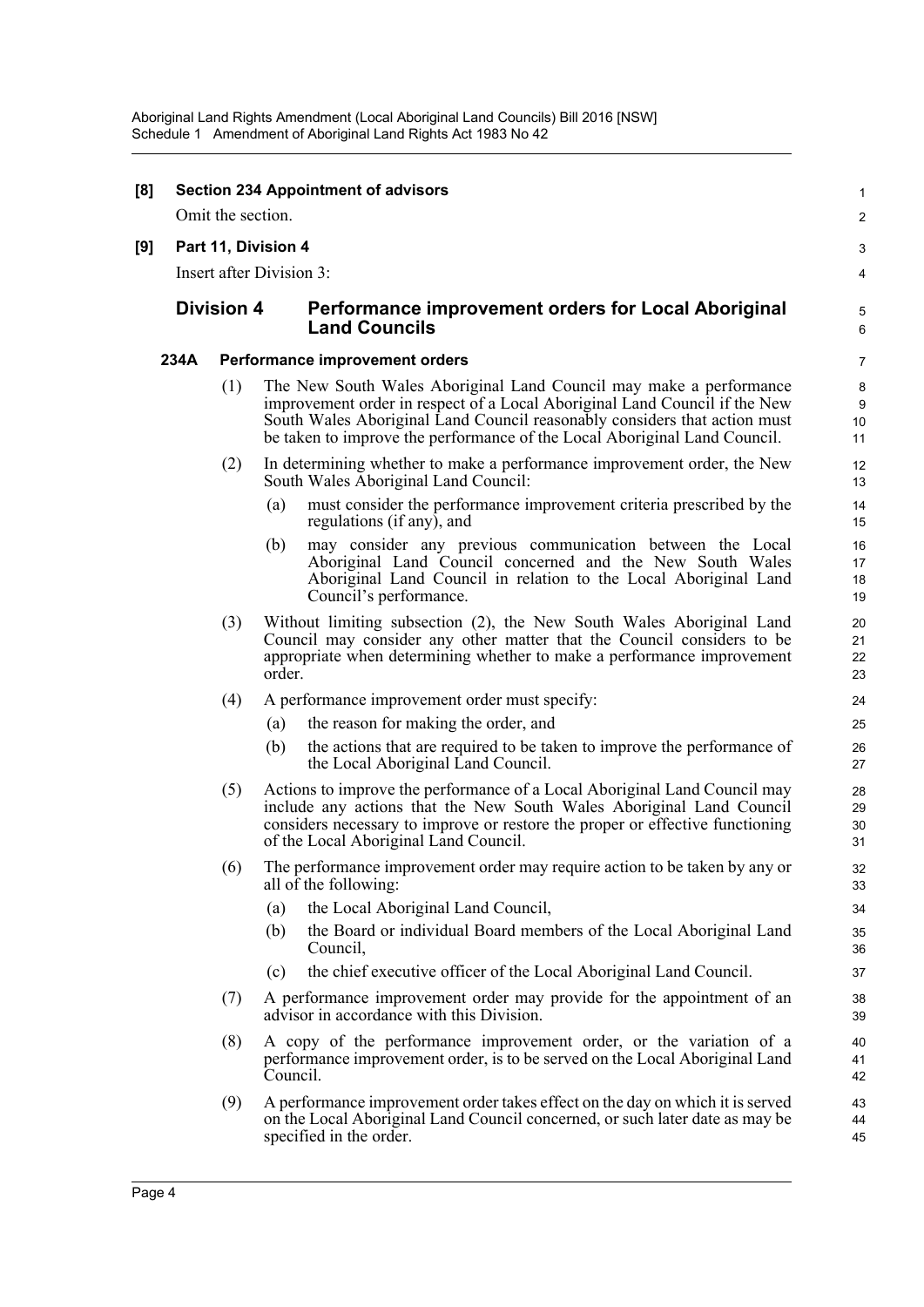#### **[8] Section 234 Appointment of advisors** Omit the section. **[9] Part 11, Division 4** Insert after Division 3: **Division 4 Performance improvement orders for Local Aboriginal Land Councils 234A Performance improvement orders** (1) The New South Wales Aboriginal Land Council may make a performance improvement order in respect of a Local Aboriginal Land Council if the New South Wales Aboriginal Land Council reasonably considers that action must be taken to improve the performance of the Local Aboriginal Land Council. (2) In determining whether to make a performance improvement order, the New South Wales Aboriginal Land Council: (a) must consider the performance improvement criteria prescribed by the regulations (if any), and (b) may consider any previous communication between the Local Aboriginal Land Council concerned and the New South Wales Aboriginal Land Council in relation to the Local Aboriginal Land Council's performance. (3) Without limiting subsection (2), the New South Wales Aboriginal Land Council may consider any other matter that the Council considers to be appropriate when determining whether to make a performance improvement order. (4) A performance improvement order must specify: (a) the reason for making the order, and (b) the actions that are required to be taken to improve the performance of the Local Aboriginal Land Council. (5) Actions to improve the performance of a Local Aboriginal Land Council may include any actions that the New South Wales Aboriginal Land Council considers necessary to improve or restore the proper or effective functioning of the Local Aboriginal Land Council. (6) The performance improvement order may require action to be taken by any or all of the following: (a) the Local Aboriginal Land Council, (b) the Board or individual Board members of the Local Aboriginal Land Council, (c) the chief executive officer of the Local Aboriginal Land Council. (7) A performance improvement order may provide for the appointment of an advisor in accordance with this Division. (8) A copy of the performance improvement order, or the variation of a performance improvement order, is to be served on the Local Aboriginal Land Council. (9) A performance improvement order takes effect on the day on which it is served on the Local Aboriginal Land Council concerned, or such later date as may be specified in the order. 1  $\mathcal{L}$ 3 4 5 6 7 8 9 10 11 12 13 14 15 16 17 18 19 20 21 22 23 24 25  $26$ 27 28 29 30 31 32 33 34 35 36 37 38 39 40 41 42 43 44 45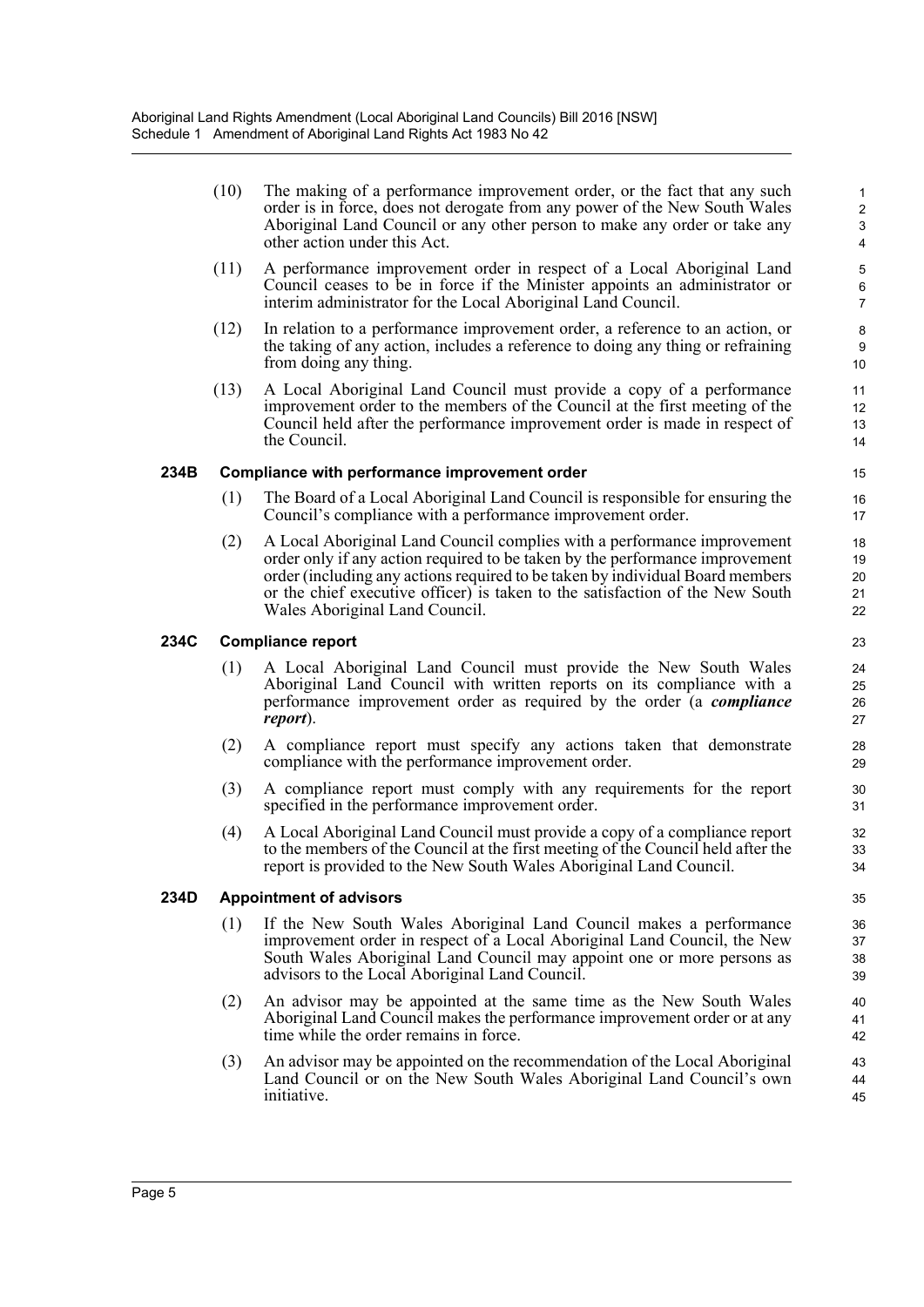(10) The making of a performance improvement order, or the fact that any such order is in force, does not derogate from any power of the New South Wales Aboriginal Land Council or any other person to make any order or take any other action under this Act.

- (11) A performance improvement order in respect of a Local Aboriginal Land Council ceases to be in force if the Minister appoints an administrator or interim administrator for the Local Aboriginal Land Council.
- (12) In relation to a performance improvement order, a reference to an action, or the taking of any action, includes a reference to doing any thing or refraining from doing any thing.
- (13) A Local Aboriginal Land Council must provide a copy of a performance improvement order to the members of the Council at the first meeting of the Council held after the performance improvement order is made in respect of the Council.

#### **234B Compliance with performance improvement order**

- (1) The Board of a Local Aboriginal Land Council is responsible for ensuring the Council's compliance with a performance improvement order.
- (2) A Local Aboriginal Land Council complies with a performance improvement order only if any action required to be taken by the performance improvement order (including any actions required to be taken by individual Board members or the chief executive officer) is taken to the satisfaction of the New South Wales Aboriginal Land Council.

#### **234C Compliance report**

- (1) A Local Aboriginal Land Council must provide the New South Wales Aboriginal Land Council with written reports on its compliance with a performance improvement order as required by the order (a *compliance report*).
- (2) A compliance report must specify any actions taken that demonstrate compliance with the performance improvement order.
- (3) A compliance report must comply with any requirements for the report specified in the performance improvement order.
- (4) A Local Aboriginal Land Council must provide a copy of a compliance report to the members of the Council at the first meeting of the Council held after the report is provided to the New South Wales Aboriginal Land Council.

#### **234D Appointment of advisors**

- (1) If the New South Wales Aboriginal Land Council makes a performance improvement order in respect of a Local Aboriginal Land Council, the New South Wales Aboriginal Land Council may appoint one or more persons as advisors to the Local Aboriginal Land Council.
- (2) An advisor may be appointed at the same time as the New South Wales Aboriginal Land Council makes the performance improvement order or at any time while the order remains in force.
- (3) An advisor may be appointed on the recommendation of the Local Aboriginal Land Council or on the New South Wales Aboriginal Land Council's own initiative.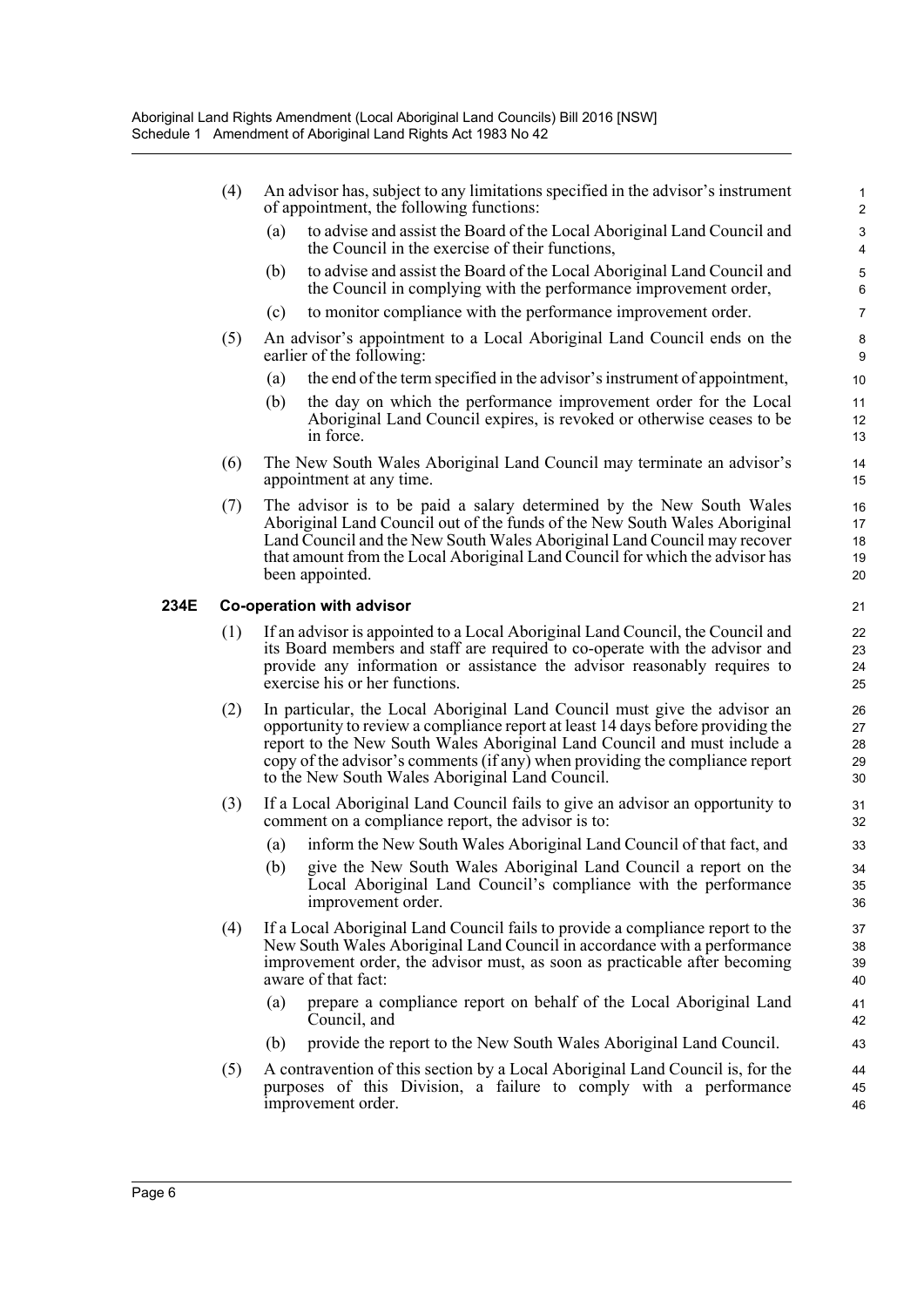- (4) An advisor has, subject to any limitations specified in the advisor's instrument of appointment, the following functions:
	- (a) to advise and assist the Board of the Local Aboriginal Land Council and the Council in the exercise of their functions,

- (b) to advise and assist the Board of the Local Aboriginal Land Council and the Council in complying with the performance improvement order,
- (c) to monitor compliance with the performance improvement order.
- (5) An advisor's appointment to a Local Aboriginal Land Council ends on the earlier of the following:
	- (a) the end of the term specified in the advisor's instrument of appointment,
	- (b) the day on which the performance improvement order for the Local Aboriginal Land Council expires, is revoked or otherwise ceases to be in force.
- (6) The New South Wales Aboriginal Land Council may terminate an advisor's appointment at any time.
- (7) The advisor is to be paid a salary determined by the New South Wales Aboriginal Land Council out of the funds of the New South Wales Aboriginal Land Council and the New South Wales Aboriginal Land Council may recover that amount from the Local Aboriginal Land Council for which the advisor has been appointed.

#### **234E Co-operation with advisor**

- (1) If an advisor is appointed to a Local Aboriginal Land Council, the Council and its Board members and staff are required to co-operate with the advisor and provide any information or assistance the advisor reasonably requires to exercise his or her functions.
- (2) In particular, the Local Aboriginal Land Council must give the advisor an opportunity to review a compliance report at least 14 days before providing the report to the New South Wales Aboriginal Land Council and must include a copy of the advisor's comments (if any) when providing the compliance report to the New South Wales Aboriginal Land Council.
- (3) If a Local Aboriginal Land Council fails to give an advisor an opportunity to comment on a compliance report, the advisor is to:
	- (a) inform the New South Wales Aboriginal Land Council of that fact, and
	- (b) give the New South Wales Aboriginal Land Council a report on the Local Aboriginal Land Council's compliance with the performance improvement order.
- (4) If a Local Aboriginal Land Council fails to provide a compliance report to the New South Wales Aboriginal Land Council in accordance with a performance improvement order, the advisor must, as soon as practicable after becoming aware of that fact:
	- (a) prepare a compliance report on behalf of the Local Aboriginal Land Council, and
	- (b) provide the report to the New South Wales Aboriginal Land Council.
- (5) A contravention of this section by a Local Aboriginal Land Council is, for the purposes of this Division, a failure to comply with a performance improvement order.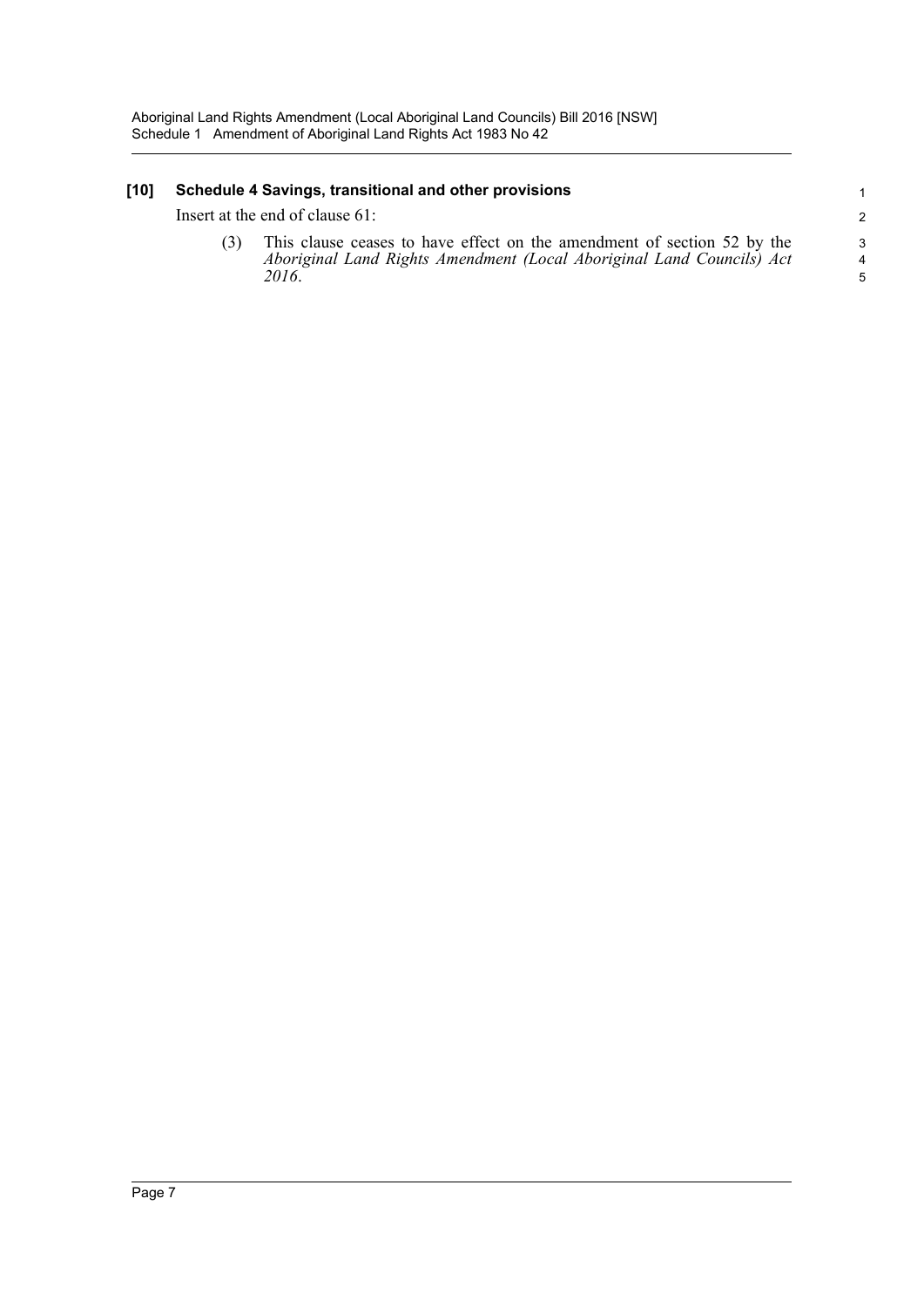### **[10] Schedule 4 Savings, transitional and other provisions**

Insert at the end of clause 61:

(3) This clause ceases to have effect on the amendment of section 52 by the *Aboriginal Land Rights Amendment (Local Aboriginal Land Councils) Act 2016*.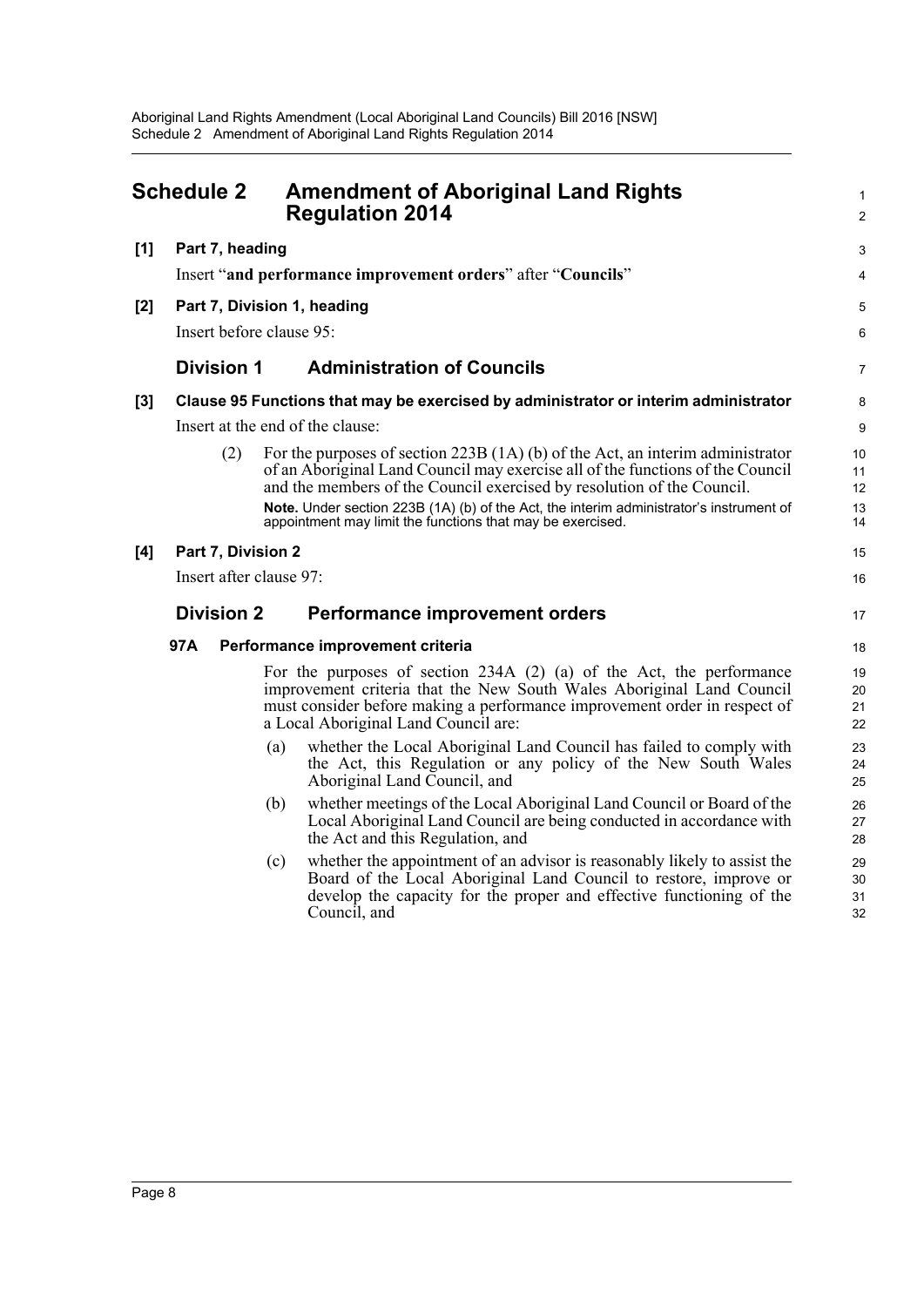<span id="page-11-0"></span>

| <b>Schedule 2</b> |                                                                                 |                                  | <b>Amendment of Aboriginal Land Rights</b><br><b>Regulation 2014</b>                                                                                                                                                                                                | 1<br>2               |
|-------------------|---------------------------------------------------------------------------------|----------------------------------|---------------------------------------------------------------------------------------------------------------------------------------------------------------------------------------------------------------------------------------------------------------------|----------------------|
| [1]               | Part 7, heading<br>Insert "and performance improvement orders" after "Councils" |                                  |                                                                                                                                                                                                                                                                     |                      |
|                   |                                                                                 |                                  |                                                                                                                                                                                                                                                                     |                      |
| [2]               | Part 7, Division 1, heading                                                     |                                  |                                                                                                                                                                                                                                                                     |                      |
|                   | Insert before clause 95:                                                        |                                  |                                                                                                                                                                                                                                                                     |                      |
|                   | <b>Division 1</b>                                                               |                                  | <b>Administration of Councils</b>                                                                                                                                                                                                                                   | 7                    |
| [3]               |                                                                                 |                                  | Clause 95 Functions that may be exercised by administrator or interim administrator                                                                                                                                                                                 | 8                    |
|                   |                                                                                 | Insert at the end of the clause: |                                                                                                                                                                                                                                                                     |                      |
|                   | (2)                                                                             |                                  | For the purposes of section $223B(1A)(b)$ of the Act, an interim administrator<br>of an Aboriginal Land Council may exercise all of the functions of the Council<br>and the members of the Council exercised by resolution of the Council.                          | 10<br>11<br>12       |
|                   |                                                                                 |                                  | Note. Under section 223B (1A) (b) of the Act, the interim administrator's instrument of<br>appointment may limit the functions that may be exercised.                                                                                                               | 13<br>14             |
| [4]               | Part 7, Division 2                                                              |                                  |                                                                                                                                                                                                                                                                     | 15                   |
|                   | Insert after clause 97:                                                         |                                  |                                                                                                                                                                                                                                                                     | 16                   |
|                   | <b>Division 2</b>                                                               |                                  | <b>Performance improvement orders</b>                                                                                                                                                                                                                               | 17                   |
|                   | 97A                                                                             |                                  | Performance improvement criteria                                                                                                                                                                                                                                    | 18                   |
|                   |                                                                                 |                                  | For the purposes of section $234A(2)$ (a) of the Act, the performance<br>improvement criteria that the New South Wales Aboriginal Land Council<br>must consider before making a performance improvement order in respect of<br>a Local Aboriginal Land Council are: | 19<br>20<br>21<br>22 |
|                   |                                                                                 | (a)                              | whether the Local Aboriginal Land Council has failed to comply with<br>the Act, this Regulation or any policy of the New South Wales<br>Aboriginal Land Council, and                                                                                                | 23<br>24<br>25       |
|                   |                                                                                 | (b)                              | whether meetings of the Local Aboriginal Land Council or Board of the<br>Local Aboriginal Land Council are being conducted in accordance with<br>the Act and this Regulation, and                                                                                   | 26<br>27<br>28       |
|                   |                                                                                 | (c)                              | whether the appointment of an advisor is reasonably likely to assist the<br>Board of the Local Aboriginal Land Council to restore, improve or<br>develop the capacity for the proper and effective functioning of the<br>Council, and                               | 29<br>30<br>31<br>32 |